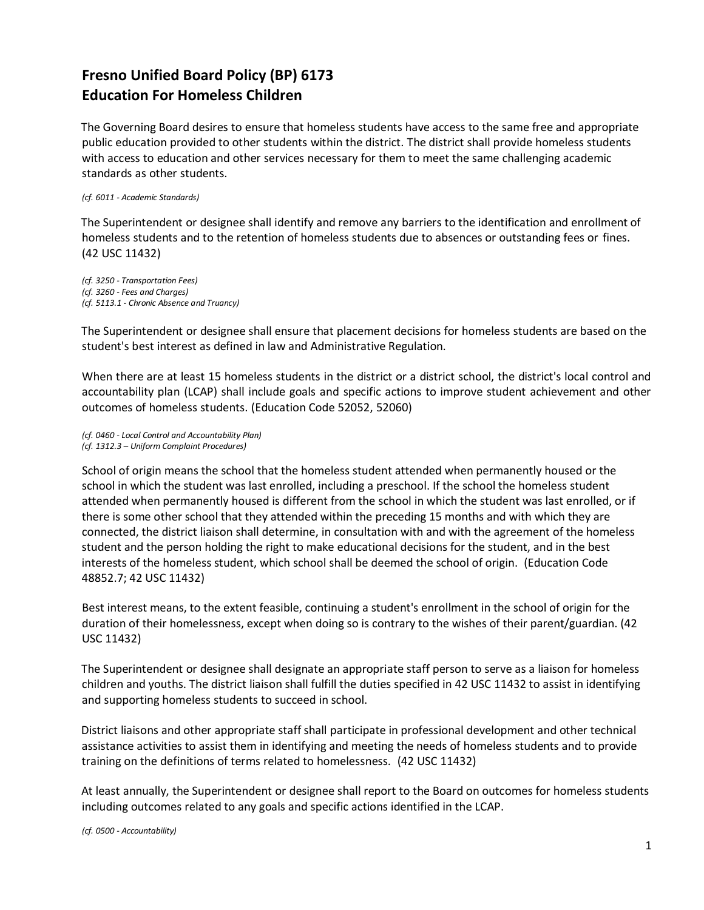# **Fresno Unified Board Policy (BP) 6173 Education For Homeless Children**

The Governing Board desires to ensure that homeless students have access to the same free and appropriate public education provided to other students within the district. The district shall provide homeless students with access to education and other services necessary for them to meet the same challenging academic standards as other students.

### *(cf. [6011](http://gamutonline.net/displayPolicy/211099/6) - Academic Standards)*

The Superintendent or designee shall identify and remove any barriers to the identification and enrollment of homeless students and to the retention of homeless students due to absences or outstanding fees or fines. (42 USC 11432)

*(cf. 3250 - Transportation Fees) (cf. 3260 - Fees and Charges) (cf. 5113.1 - Chronic Absence and Truancy)*

The Superintendent or designee shall ensure that placement decisions for homeless students are based on the student's best interest as defined in law and Administrative Regulation.

When there are at least 15 homeless students in the district or a district school, the district's local control and accountability plan (LCAP) shall include goals and specific actions to improve student achievement and other outcomes of homeless students. (Education Code [52052,](http://gamutonline.net/displayPolicy/899522/6) [5206](http://gamutonline.net/displayPolicy/899522/6)[0\)](http://gamutonline.net/displayPolicy/899612/6)

*(cf. [0460](http://gamutonline.net/displayPolicy/857369/6) - Local Control and Accountability Plan) (cf. 1312.3 – Uniform Complaint Procedures)*

School of origin means the school that the homeless student attended when permanently housed or the school in which the student was last enrolled, including a preschool. If the school the homeless student attended when permanently housed is different from the school in which the student was last enrolled, or if there is some other school that they attended within the preceding 15 months and with which they are connected, the district liaison shall determine, in consultation with and with the agreement of the homeless student and the person holding the right to make educational decisions for the student, and in the best interests of the homeless student, which school shall be deemed the school of origin. (Education Code 48852.7; 42 USC 11432)

Best interest means, to the extent feasible, continuing a student's enrollment in the school of origin for the duration of their homelessness, except when doing so is contrary to the wishes of their parent/guardian. (42 USC 11432)

The Superintendent or designee shall designate an appropriate staff person to serve as a liaison for homeless children and youths. The district liaison shall fulfill the duties specified in 42 USC 11432 to assist in identifying and supporting homeless students to succeed in school.

District liaisons and other appropriate staff shall participate in professional development and other technical assistance activities to assist them in identifying and meeting the needs of homeless students and to provide training on the definitions of terms related to homelessness. (42 USC 11432)

At least annually, the Superintendent or designee shall report to the Board on outcomes for homeless students including outcomes related to any goals and specific actions identified in the LCAP.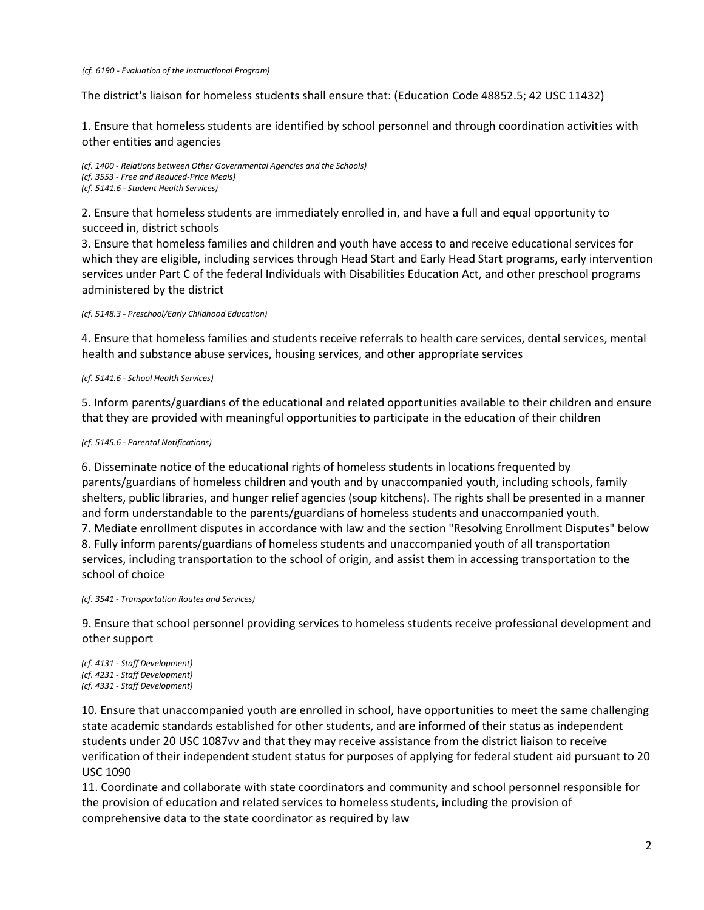#### *(cf. [6190](http://gamutonline.net/displayPolicy/259635/6) - Evaluation of the Instructional Program)*

The district's liaison for homeless students shall ensure that: (Education Code 48852.5; 42 USC 11432)

1. Ensure that homeless students are identified by school personnel and through coordination activities with other entities and agencies

*(cf. 1400 - Relations between Other Governmental Agencies and the Schools) (cf. 3553 - Free and Reduced-Price Meals) (cf. 5141.6 - Student Health Services)*

2. Ensure that homeless students are immediately enrolled in, and have a full and equal opportunity to succeed in, district schools

3. Ensure that homeless families and children and youth have access to and receive educational services for which they are eligible, including services through Head Start and Early Head Start programs, early intervention services under Part C of the federal Individuals with Disabilities Education Act, and other preschool programs administered by the district

*(cf. 5148.3 - Preschool/Early Childhood Education)*

4. Ensure that homeless families and students receive referrals to health care services, dental services, mental health and substance abuse services, housing services, and other appropriate services

*(cf. 5141.6 - School Health Services)*

5. Inform parents/guardians of the educational and related opportunities available to their children and ensure that they are provided with meaningful opportunities to participate in the education of their children

### *(cf. 5145.6 - Parental Notifications)*

6. Disseminate notice of the educational rights of homeless students in locations frequented by parents/guardians of homeless children and youth and by unaccompanied youth, including schools, family shelters, public libraries, and hunger relief agencies (soup kitchens). The rights shall be presented in a manner and form understandable to the parents/guardians of homeless students and unaccompanied youth. 7. Mediate enrollment disputes in accordance with law and the section "Resolving Enrollment Disputes" below 8. Fully inform parents/guardians of homeless students and unaccompanied youth of all transportation services, including transportation to the school of origin, and assist them in accessing transportation to the school of choice

*(cf. 3541 - Transportation Routes and Services)*

9. Ensure that school personnel providing services to homeless students receive professional development and other support

*(cf. 4131 - Staff Development) (cf. 4231 - Staff Development) (cf. 4331 - Staff Development)*

10. Ensure that unaccompanied youth are enrolled in school, have opportunities to meet the same challenging state academic standards established for other students, and are informed of their status as independent students under 20 USC 1087vv and that they may receive assistance from the district liaison to receive verification of their independent student status for purposes of applying for federal student aid pursuant to 20 USC 1090

11. Coordinate and collaborate with state coordinators and community and school personnel responsible for the provision of education and related services to homeless students, including the provision of comprehensive data to the state coordinator as required by law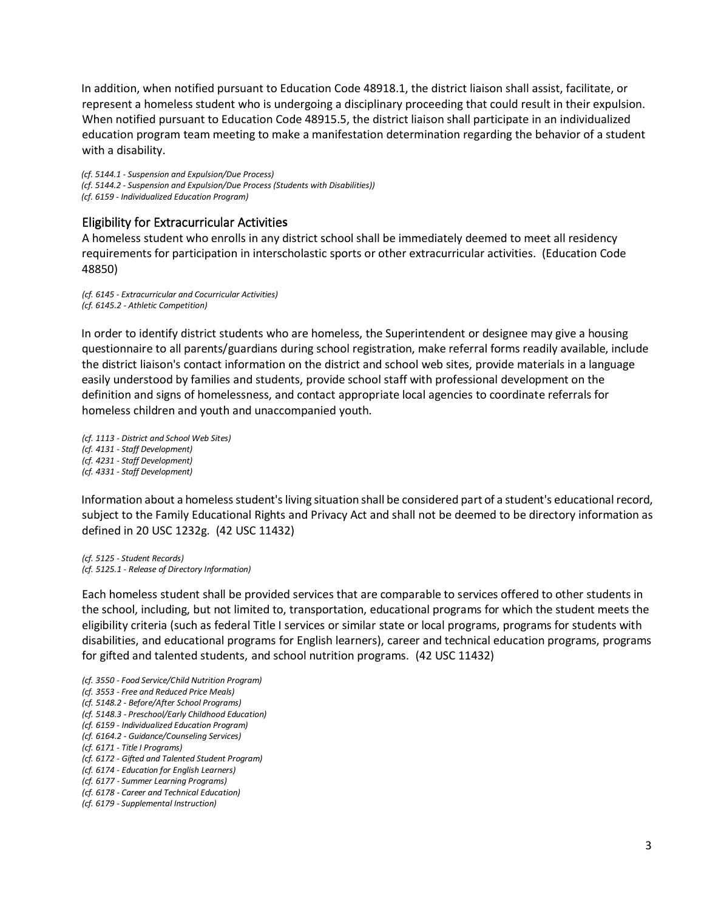In addition, when notified pursuant to Education Code 48918.1, the district liaison shall assist, facilitate, or represent a homeless student who is undergoing a disciplinary proceeding that could result in their expulsion. When notified pursuant to Education Code 48915.5, the district liaison shall participate in an individualized education program team meeting to make a manifestation determination regarding the behavior of a student with a disability.

*(cf. 5144.1 - Suspension and Expulsion/Due Process) (cf. 5144.2 - Suspension and Expulsion/Due Process (Students with Disabilities)) (cf. 6159 - Individualized Education Program)*

# Eligibility for Extracurricular Activitie**s**

A homeless student who enrolls in any district school shall be immediately deemed to meet all residency requirements for participation in interscholastic sports or other extracurricular activities. (Education Code 48850)

*(cf. 6145 - Extracurricular and Cocurricular Activities) (cf. 6145.2 - Athletic Competition)*

In order to identify district students who are homeless, the Superintendent or designee may give a housing questionnaire to all parents/guardians during school registration, make referral forms readily available, include the district liaison's contact information on the district and school web sites, provide materials in a language easily understood by families and students, provide school staff with professional development on the definition and signs of homelessness, and contact appropriate local agencies to coordinate referrals for homeless children and youth and unaccompanied youth.

*(cf. 1113 - District and School Web Sites) (cf. 4131 - Staff Development) (cf. 4231 - Staff Development) (cf. 4331 - Staff Development)*

Information about a homelessstudent'sliving situation shall be considered part of a student's educational record, subject to the Family Educational Rights and Privacy Act and shall not be deemed to be directory information as defined in 20 USC 1232g. (42 USC 11432)

*(cf. 5125 - Student Records) (cf. 5125.1 - Release of Directory Information)*

Each homeless student shall be provided services that are comparable to services offered to other students in the school, including, but not limited to, transportation, educational programs for which the student meets the eligibility criteria (such as federal Title I services or similar state or local programs, programs for students with disabilities, and educational programs for English learners), career and technical education programs, programs for gifted and talented students, and school nutrition programs. (42 USC 11432)

- *(cf. 3550 - Food Service/Child Nutrition Program)*
- *(cf. 3553 - Free and Reduced Price Meals)*
- *(cf. 5148.2 - Before/After School Programs)*
- *(cf. 5148.3 - Preschool/Early Childhood Education)*
- *(cf. 6159 - Individualized Education Program)*
- *(cf. 6164.2 - Guidance/Counseling Services)*
- *(cf. 6171 - Title I Programs)*
- *(cf. 6172 - Gifted and Talented Student Program)*
- *(cf. 6174 - Education for English Learners)*
- *(cf. 6177 - Summer Learning Programs) (cf. 6178 - Career and Technical Education)*
- *(cf. 6179 - Supplemental Instruction)*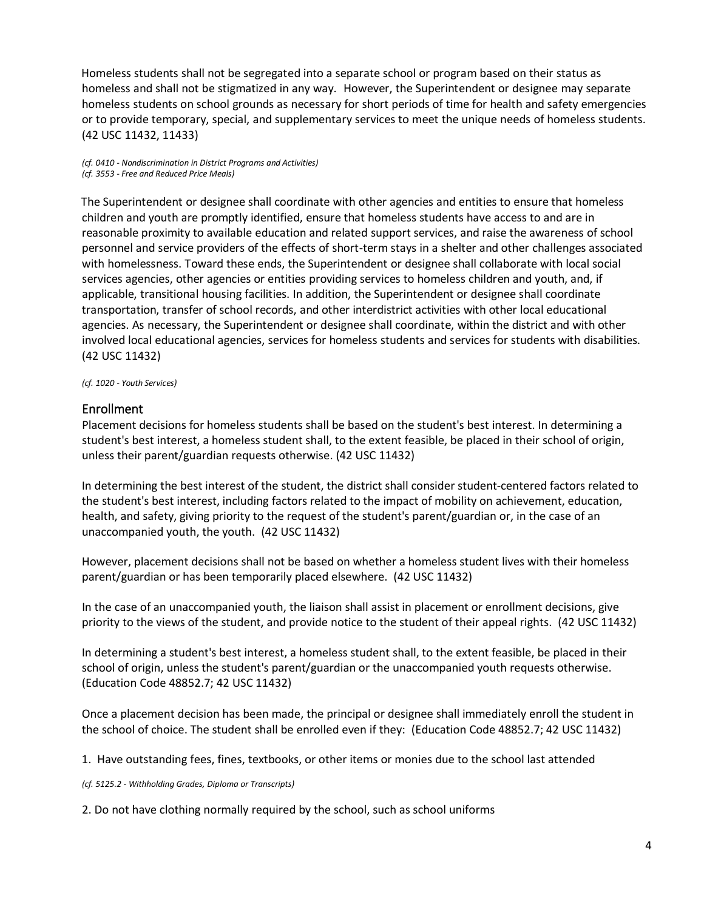Homeless students shall not be segregated into a separate school or program based on their status as homeless and shall not be stigmatized in any way. However, the Superintendent or designee may separate homeless students on school grounds as necessary for short periods of time for health and safety emergencies or to provide temporary, special, and supplementary services to meet the unique needs of homeless students. (42 USC 11432, 11433)

*(cf. 0410 - Nondiscrimination in District Programs and Activities) (cf. 3553 - Free and Reduced Price Meals)*

The Superintendent or designee shall coordinate with other agencies and entities to ensure that homeless children and youth are promptly identified, ensure that homeless students have access to and are in reasonable proximity to available education and related support services, and raise the awareness of school personnel and service providers of the effects of short-term stays in a shelter and other challenges associated with homelessness. Toward these ends, the Superintendent or designee shall collaborate with local social services agencies, other agencies or entities providing services to homeless children and youth, and, if applicable, transitional housing facilities. In addition, the Superintendent or designee shall coordinate transportation, transfer of school records, and other interdistrict activities with other local educational agencies. As necessary, the Superintendent or designee shall coordinate, within the district and with other involved local educational agencies, services for homeless students and services for students with disabilities. (42 USC 11432)

*(cf. 1020 - Youth Services)*

### Enrollment

Placement decisions for homeless students shall be based on the student's best interest. In determining a student's best interest, a homeless student shall, to the extent feasible, be placed in their school of origin, unless their parent/guardian requests otherwise. (42 USC 11432)

In determining the best interest of the student, the district shall consider student-centered factors related to the student's best interest, including factors related to the impact of mobility on achievement, education, health, and safety, giving priority to the request of the student's parent/guardian or, in the case of an unaccompanied youth, the youth. (42 USC 11432)

However, placement decisions shall not be based on whether a homeless student lives with their homeless parent/guardian or has been temporarily placed elsewhere. (42 USC 11432)

In the case of an unaccompanied youth, the liaison shall assist in placement or enrollment decisions, give priority to the views of the student, and provide notice to the student of their appeal rights. (42 USC 11432)

In determining a student's best interest, a homeless student shall, to the extent feasible, be placed in their school of origin, unless the student's parent/guardian or the unaccompanied youth requests otherwise. (Education Code 48852.7; 42 USC 11432)

Once a placement decision has been made, the principal or designee shall immediately enroll the student in the school of choice. The student shall be enrolled even if they: (Education Code 48852.7; 42 USC 11432)

1. Have outstanding fees, fines, textbooks, or other items or monies due to the school last attended

*(cf. 5125.2 - Withholding Grades, Diploma or Transcripts)*

2. Do not have clothing normally required by the school, such as school uniforms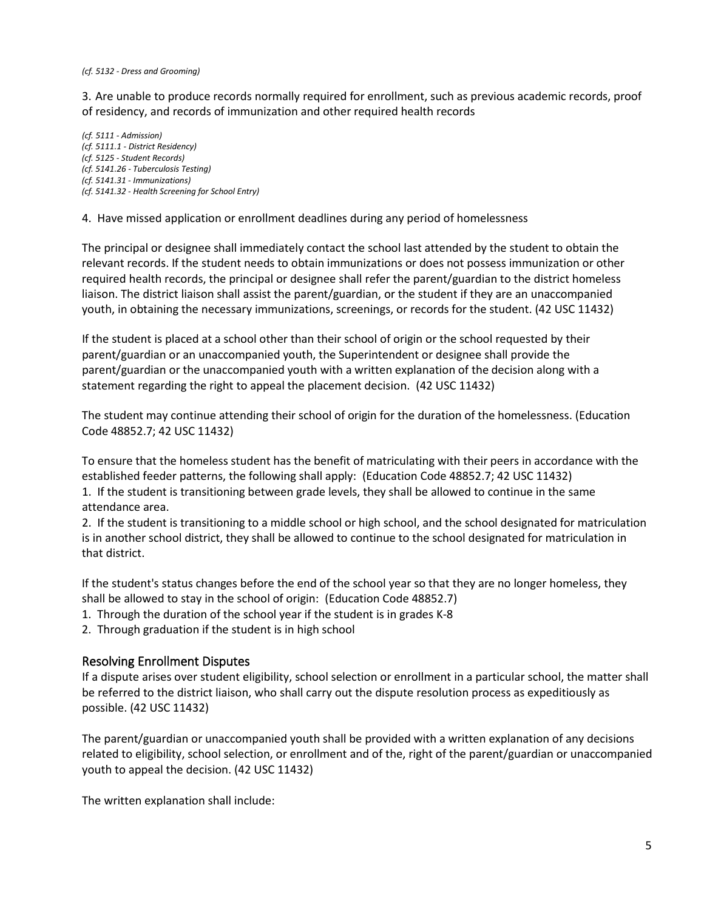3. Are unable to produce records normally required for enrollment, such as previous academic records, proof of residency, and records of immunization and other required health records

*(cf. 5111 - Admission) (cf. 5111.1 - District Residency) (cf. 5125 - Student Records) (cf. 5141.26 - Tuberculosis Testing) (cf. 5141.31 - Immunizations) (cf. 5141.32 - Health Screening for School Entry)*

4. Have missed application or enrollment deadlines during any period of homelessness

The principal or designee shall immediately contact the school last attended by the student to obtain the relevant records. If the student needs to obtain immunizations or does not possess immunization or other required health records, the principal or designee shall refer the parent/guardian to the district homeless liaison. The district liaison shall assist the parent/guardian, or the student if they are an unaccompanied youth, in obtaining the necessary immunizations, screenings, or records for the student. (42 USC 11432)

If the student is placed at a school other than their school of origin or the school requested by their parent/guardian or an unaccompanied youth, the Superintendent or designee shall provide the parent/guardian or the unaccompanied youth with a written explanation of the decision along with a statement regarding the right to appeal the placement decision. (42 USC 11432)

The student may continue attending their school of origin for the duration of the homelessness. (Education Code 48852.7; 42 USC 11432)

To ensure that the homeless student has the benefit of matriculating with their peers in accordance with the established feeder patterns, the following shall apply: (Education Code 48852.7; 42 USC 11432) 1. If the student is transitioning between grade levels, they shall be allowed to continue in the same attendance area.

2. If the student is transitioning to a middle school or high school, and the school designated for matriculation is in another school district, they shall be allowed to continue to the school designated for matriculation in that district.

If the student's status changes before the end of the school year so that they are no longer homeless, they shall be allowed to stay in the school of origin: (Education Code 48852.7)

1. Through the duration of the school year if the student is in grades K-8

2. Through graduation if the student is in high school

## Resolving Enrollment Disputes

If a dispute arises over student eligibility, school selection or enrollment in a particular school, the matter shall be referred to the district liaison, who shall carry out the dispute resolution process as expeditiously as possible. (42 USC 11432)

The parent/guardian or unaccompanied youth shall be provided with a written explanation of any decisions related to eligibility, school selection, or enrollment and of the, right of the parent/guardian or unaccompanied youth to appeal the decision. (42 USC 11432)

The written explanation shall include: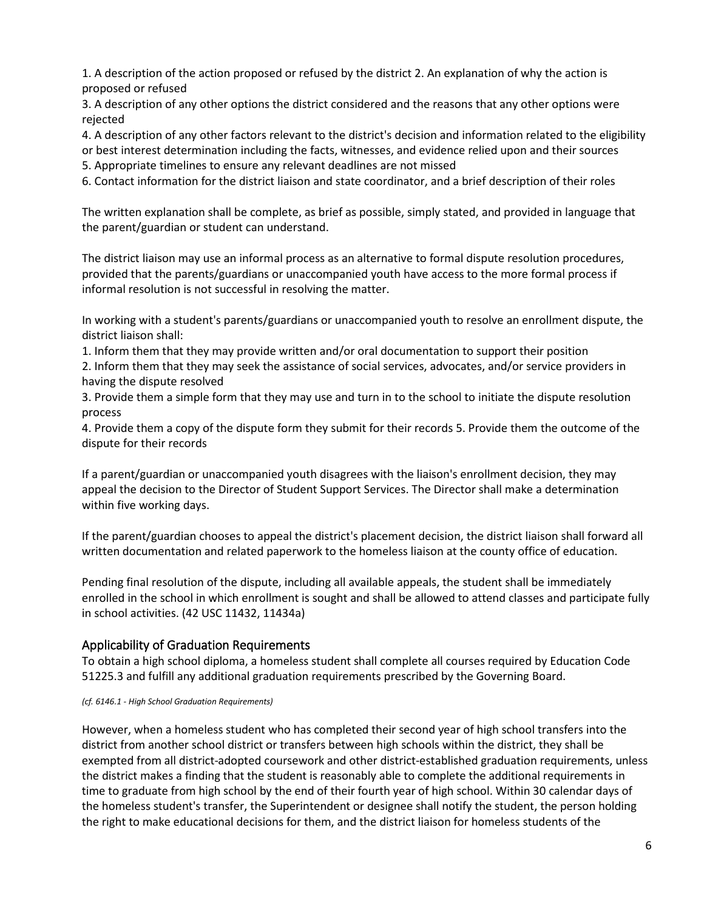1. A description of the action proposed or refused by the district 2. An explanation of why the action is proposed or refused

3. A description of any other options the district considered and the reasons that any other options were rejected

4. A description of any other factors relevant to the district's decision and information related to the eligibility

or best interest determination including the facts, witnesses, and evidence relied upon and their sources

5. Appropriate timelines to ensure any relevant deadlines are not missed

6. Contact information for the district liaison and state coordinator, and a brief description of their roles

The written explanation shall be complete, as brief as possible, simply stated, and provided in language that the parent/guardian or student can understand.

The district liaison may use an informal process as an alternative to formal dispute resolution procedures, provided that the parents/guardians or unaccompanied youth have access to the more formal process if informal resolution is not successful in resolving the matter.

In working with a student's parents/guardians or unaccompanied youth to resolve an enrollment dispute, the district liaison shall:

1. Inform them that they may provide written and/or oral documentation to support their position

2. Inform them that they may seek the assistance of social services, advocates, and/or service providers in having the dispute resolved

3. Provide them a simple form that they may use and turn in to the school to initiate the dispute resolution process

4. Provide them a copy of the dispute form they submit for their records 5. Provide them the outcome of the dispute for their records

If a parent/guardian or unaccompanied youth disagrees with the liaison's enrollment decision, they may appeal the decision to the Director of Student Support Services. The Director shall make a determination within five working days.

If the parent/guardian chooses to appeal the district's placement decision, the district liaison shall forward all written documentation and related paperwork to the homeless liaison at the county office of education.

Pending final resolution of the dispute, including all available appeals, the student shall be immediately enrolled in the school in which enrollment is sought and shall be allowed to attend classes and participate fully in school activities. (42 USC 11432, 11434a)

# Applicability of Graduation Requirements

To obtain a high school diploma, a homeless student shall complete all courses required by Education Code 51225.3 and fulfill any additional graduation requirements prescribed by the Governing Board.

### *(cf. 6146.1 - High School Graduation Requirements)*

However, when a homeless student who has completed their second year of high school transfers into the district from another school district or transfers between high schools within the district, they shall be exempted from all district-adopted coursework and other district-established graduation requirements, unless the district makes a finding that the student is reasonably able to complete the additional requirements in time to graduate from high school by the end of their fourth year of high school. Within 30 calendar days of the homeless student's transfer, the Superintendent or designee shall notify the student, the person holding the right to make educational decisions for them, and the district liaison for homeless students of the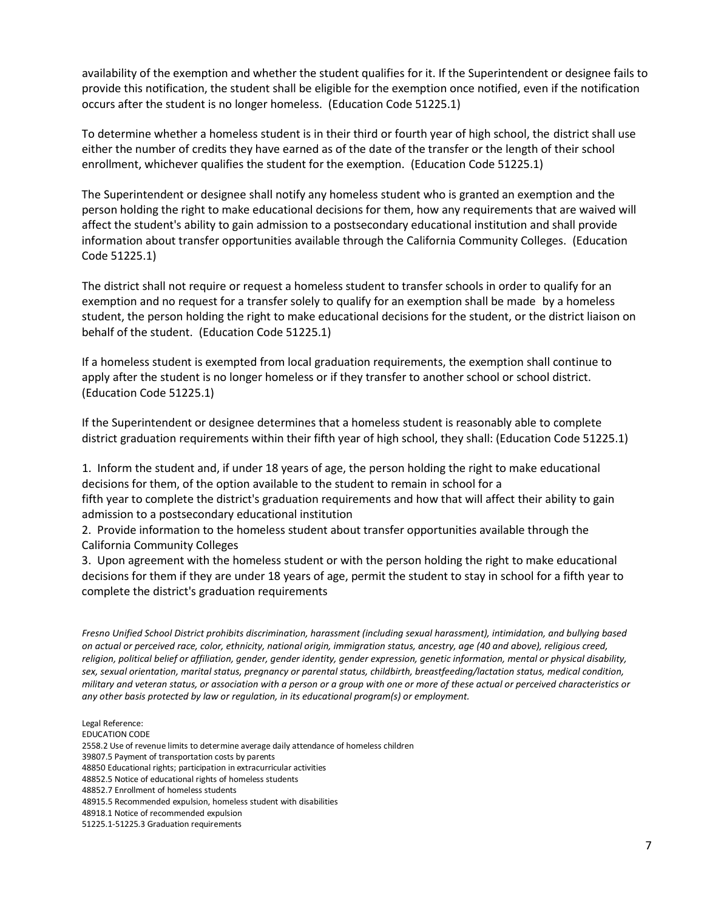availability of the exemption and whether the student qualifies for it. If the Superintendent or designee fails to provide this notification, the student shall be eligible for the exemption once notified, even if the notification occurs after the student is no longer homeless. (Education Code 51225.1)

To determine whether a homeless student is in their third or fourth year of high school, the district shall use either the number of credits they have earned as of the date of the transfer or the length of their school enrollment, whichever qualifies the student for the exemption. (Education Code 51225.1)

The Superintendent or designee shall notify any homeless student who is granted an exemption and the person holding the right to make educational decisions for them, how any requirements that are waived will affect the student's ability to gain admission to a postsecondary educational institution and shall provide information about transfer opportunities available through the California Community Colleges. (Education Code 51225.1)

The district shall not require or request a homeless student to transfer schools in order to qualify for an exemption and no request for a transfer solely to qualify for an exemption shall be made by a homeless student, the person holding the right to make educational decisions for the student, or the district liaison on behalf of the student. (Education Code 51225.1)

If a homeless student is exempted from local graduation requirements, the exemption shall continue to apply after the student is no longer homeless or if they transfer to another school or school district. (Education Code 51225.1)

If the Superintendent or designee determines that a homeless student is reasonably able to complete district graduation requirements within their fifth year of high school, they shall: (Education Code 51225.1)

1. Inform the student and, if under 18 years of age, the person holding the right to make educational decisions for them, of the option available to the student to remain in school for a fifth year to complete the district's graduation requirements and how that will affect their ability to gain admission to a postsecondary educational institution

2. Provide information to the homeless student about transfer opportunities available through the California Community Colleges

3. Upon agreement with the homeless student or with the person holding the right to make educational decisions for them if they are under 18 years of age, permit the student to stay in school for a fifth year to complete the district's graduation requirements

*Fresno Unified School District prohibits discrimination, harassment (including sexual harassment), intimidation, and bullying based on actual or perceived race, color, ethnicity, national origin, immigration status, ancestry, age (40 and above), religious creed, religion, political belief or affiliation, gender, gender identity, gender expression, genetic information, mental or physical disability, sex, sexual orientation, marital status, pregnancy or parental status, childbirth, breastfeeding/lactation status, medical condition, military and veteran status, or association with a person or a group with one or more of these actual or perceived characteristics or any other basis protected by law or regulation, in its educational program(s) or employment.*

#### Legal Reference:

EDUCATION CODE

[2558.2](http://www.fresnounified.org/board/policies/Policies/fusd/displaypolicy/129139/6.htm) [Us](http://www.fresnounified.org/board/policies/Policies/fusd/displaypolicy/129139/6.htm)e of revenue limits to determine average daily attendance of homeless childr[en](http://www.fresnounified.org/board/policies/Policies/fusd/displaypolicy/204200/6.htm)

[39807.5](http://www.fresnounified.org/board/policies/Policies/fusd/displaypolicy/204200/6.htm) Payment of transportation costs by parents

[48850](http://gamutonline.net/displayPolicy/137886/6) Educational rights; participation in extracurricular activities

[48852.5](http://gamutonline.net/displayPolicy/881244/6) [No](http://gamutonline.net/displayPolicy/881244/6)tice of educational rights of homeless students

[48852.7](http://gamutonline.net/displayPolicy/1004096/6) Enrollment of homeless students

[48915.5](http://gamutonline.net/displayPolicy/137528/6) Recommended expulsion, homeless student with disabilities

[48918.1](http://gamutonline.net/displayPolicy/808004/6) [No](http://gamutonline.net/displayPolicy/808004/6)tice of recommended expulsion

[51225.1](http://gamutonline.net/displayPolicy/899633/6)[-51225.3](http://gamutonline.net/displayPolicy/0/6) [Gr](http://gamutonline.net/displayPolicy/0/6)aduation requirements